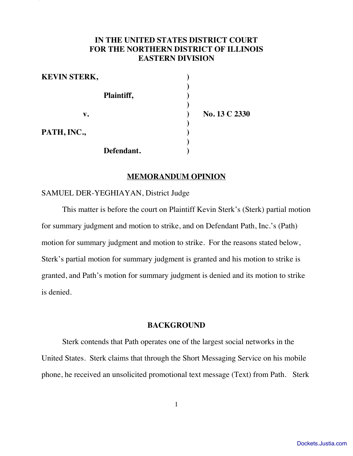# **IN THE UNITED STATES DISTRICT COURT FOR THE NORTHERN DISTRICT OF ILLINOIS EASTERN DIVISION**

Sterk v. Path, Inc. Doc. 1222 . Path, Inc. 2222 . Path, Inc. 2222 . Inc. 2222 . Inc. 2222 . Inc. 2222 . Inc. 2

| <b>KEVIN STERK,</b> |               |
|---------------------|---------------|
| Plaintiff,          |               |
|                     |               |
| $\mathbf{v}$ .      | No. 13 C 2330 |
| PATH, INC.,         |               |
|                     |               |
| Defendant.          |               |

# **MEMORANDUM OPINION**

SAMUEL DER-YEGHIAYAN, District Judge

This matter is before the court on Plaintiff Kevin Sterk's (Sterk) partial motion for summary judgment and motion to strike, and on Defendant Path, Inc.'s (Path) motion for summary judgment and motion to strike. For the reasons stated below, Sterk's partial motion for summary judgment is granted and his motion to strike is granted, and Path's motion for summary judgment is denied and its motion to strike is denied.

# **BACKGROUND**

Sterk contends that Path operates one of the largest social networks in the United States. Sterk claims that through the Short Messaging Service on his mobile phone, he received an unsolicited promotional text message (Text) from Path. Sterk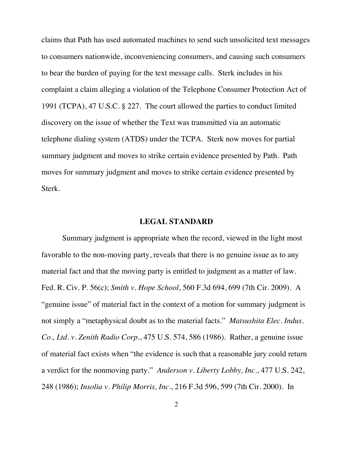claims that Path has used automated machines to send such unsolicited text messages to consumers nationwide, inconveniencing consumers, and causing such consumers to bear the burden of paying for the text message calls. Sterk includes in his complaint a claim alleging a violation of the Telephone Consumer Protection Act of 1991 (TCPA), 47 U.S.C. § 227. The court allowed the parties to conduct limited discovery on the issue of whether the Text was transmitted via an automatic telephone dialing system (ATDS) under the TCPA. Sterk now moves for partial summary judgment and moves to strike certain evidence presented by Path. Path moves for summary judgment and moves to strike certain evidence presented by Sterk.

#### **LEGAL STANDARD**

Summary judgment is appropriate when the record, viewed in the light most favorable to the non-moving party, reveals that there is no genuine issue as to any material fact and that the moving party is entitled to judgment as a matter of law. Fed. R. Civ. P. 56(c); *Smith v. Hope School*, 560 F.3d 694, 699 (7th Cir. 2009). A "genuine issue" of material fact in the context of a motion for summary judgment is not simply a "metaphysical doubt as to the material facts." *Matsushita Elec. Indus. Co., Ltd. v. Zenith Radio Corp.*, 475 U.S. 574, 586 (1986). Rather, a genuine issue of material fact exists when "the evidence is such that a reasonable jury could return a verdict for the nonmoving party." *Anderson v. Liberty Lobby, Inc.*, 477 U.S. 242, 248 (1986); *Insolia v. Philip Morris, Inc.*, 216 F.3d 596, 599 (7th Cir. 2000). In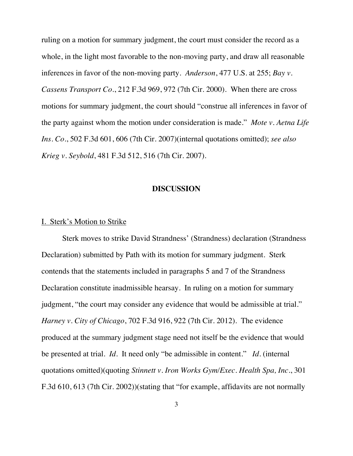ruling on a motion for summary judgment, the court must consider the record as a whole, in the light most favorable to the non-moving party, and draw all reasonable inferences in favor of the non-moving party. *Anderson*, 477 U.S. at 255; *Bay v. Cassens Transport Co.*, 212 F.3d 969, 972 (7th Cir. 2000). When there are cross motions for summary judgment, the court should "construe all inferences in favor of the party against whom the motion under consideration is made." *Mote v. Aetna Life Ins. Co.*, 502 F.3d 601, 606 (7th Cir. 2007)(internal quotations omitted); *see also Krieg v. Seybold*, 481 F.3d 512, 516 (7th Cir. 2007).

### **DISCUSSION**

#### I. Sterk's Motion to Strike

Sterk moves to strike David Strandness' (Strandness) declaration (Strandness Declaration) submitted by Path with its motion for summary judgment. Sterk contends that the statements included in paragraphs 5 and 7 of the Strandness Declaration constitute inadmissible hearsay. In ruling on a motion for summary judgment, "the court may consider any evidence that would be admissible at trial." *Harney v. City of Chicago*, 702 F.3d 916, 922 (7th Cir. 2012). The evidence produced at the summary judgment stage need not itself be the evidence that would be presented at trial. *Id.* It need only "be admissible in content." *Id.* (internal quotations omitted)(quoting *Stinnett v. Iron Works Gym/Exec. Health Spa, Inc.*, 301 F.3d 610, 613 (7th Cir. 2002))(stating that "for example, affidavits are not normally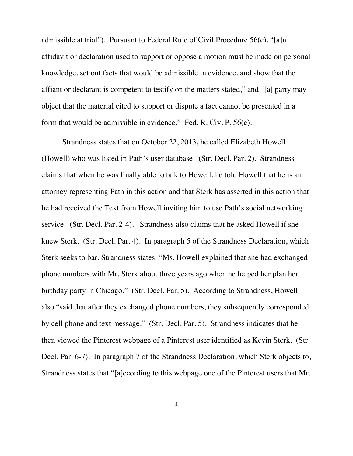admissible at trial"). Pursuant to Federal Rule of Civil Procedure 56(c), "[a]n affidavit or declaration used to support or oppose a motion must be made on personal knowledge, set out facts that would be admissible in evidence, and show that the affiant or declarant is competent to testify on the matters stated," and "[a] party may object that the material cited to support or dispute a fact cannot be presented in a form that would be admissible in evidence." Fed. R. Civ. P. 56(c).

Strandness states that on October 22, 2013, he called Elizabeth Howell (Howell) who was listed in Path's user database. (Str. Decl. Par. 2). Strandness claims that when he was finally able to talk to Howell, he told Howell that he is an attorney representing Path in this action and that Sterk has asserted in this action that he had received the Text from Howell inviting him to use Path's social networking service. (Str. Decl. Par. 2-4). Strandness also claims that he asked Howell if she knew Sterk. (Str. Decl. Par. 4). In paragraph 5 of the Strandness Declaration, which Sterk seeks to bar, Strandness states: "Ms. Howell explained that she had exchanged phone numbers with Mr. Sterk about three years ago when he helped her plan her birthday party in Chicago." (Str. Decl. Par. 5). According to Strandness, Howell also "said that after they exchanged phone numbers, they subsequently corresponded by cell phone and text message." (Str. Decl. Par. 5). Strandness indicates that he then viewed the Pinterest webpage of a Pinterest user identified as Kevin Sterk. (Str. Decl. Par. 6-7). In paragraph 7 of the Strandness Declaration, which Sterk objects to, Strandness states that "[a]ccording to this webpage one of the Pinterest users that Mr.

4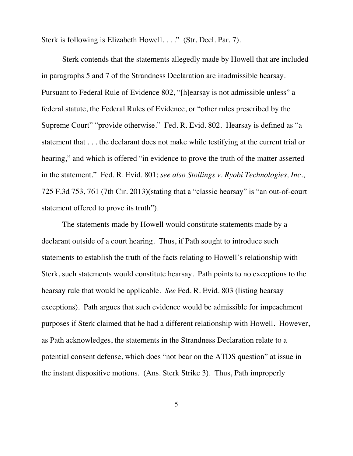Sterk is following is Elizabeth Howell. . . ." (Str. Decl. Par. 7).

Sterk contends that the statements allegedly made by Howell that are included in paragraphs 5 and 7 of the Strandness Declaration are inadmissible hearsay. Pursuant to Federal Rule of Evidence 802, "[h]earsay is not admissible unless" a federal statute, the Federal Rules of Evidence, or "other rules prescribed by the Supreme Court" "provide otherwise." Fed. R. Evid. 802. Hearsay is defined as "a statement that . . . the declarant does not make while testifying at the current trial or hearing," and which is offered "in evidence to prove the truth of the matter asserted in the statement." Fed. R. Evid. 801; *see also Stollings v. Ryobi Technologies, Inc.*, 725 F.3d 753, 761 (7th Cir. 2013)(stating that a "classic hearsay" is "an out-of-court statement offered to prove its truth").

The statements made by Howell would constitute statements made by a declarant outside of a court hearing. Thus, if Path sought to introduce such statements to establish the truth of the facts relating to Howell's relationship with Sterk, such statements would constitute hearsay. Path points to no exceptions to the hearsay rule that would be applicable. *See* Fed. R. Evid. 803 (listing hearsay exceptions). Path argues that such evidence would be admissible for impeachment purposes if Sterk claimed that he had a different relationship with Howell. However, as Path acknowledges, the statements in the Strandness Declaration relate to a potential consent defense, which does "not bear on the ATDS question" at issue in the instant dispositive motions. (Ans. Sterk Strike 3). Thus, Path improperly

5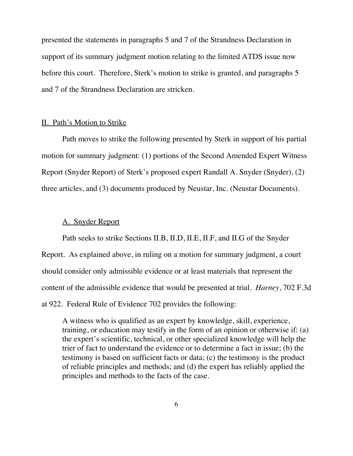presented the statements in paragraphs 5 and 7 of the Strandness Declaration in support of its summary judgment motion relating to the limited ATDS issue now before this court. Therefore, Sterk's motion to strike is granted, and paragraphs 5 and 7 of the Strandness Declaration are stricken.

## II. Path's Motion to Strike

Path moves to strike the following presented by Sterk in support of his partial motion for summary judgment: (1) portions of the Second Amended Expert Witness Report (Snyder Report) of Sterk's proposed expert Randall A. Snyder (Snyder), (2) three articles, and (3) documents produced by Neustar, Inc. (Neustar Documents).

## A. Snyder Report

Path seeks to strike Sections II.B, II.D, II.E, II.F, and II.G of the Snyder Report. As explained above, in ruling on a motion for summary judgment, a court should consider only admissible evidence or at least materials that represent the content of the admissible evidence that would be presented at trial. *Harney*, 702 F.3d at 922. Federal Rule of Evidence 702 provides the following:

A witness who is qualified as an expert by knowledge, skill, experience, training, or education may testify in the form of an opinion or otherwise if: (a) the expert's scientific, technical, or other specialized knowledge will help the trier of fact to understand the evidence or to determine a fact in issue; (b) the testimony is based on sufficient facts or data; (c) the testimony is the product of reliable principles and methods; and (d) the expert has reliably applied the principles and methods to the facts of the case.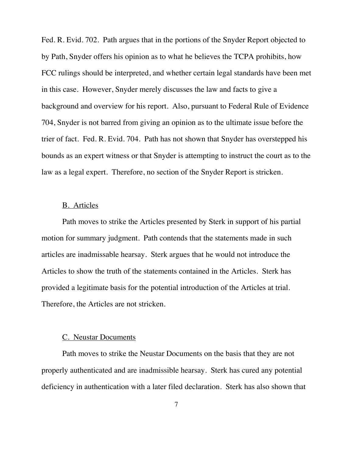Fed. R. Evid. 702. Path argues that in the portions of the Snyder Report objected to by Path, Snyder offers his opinion as to what he believes the TCPA prohibits, how FCC rulings should be interpreted, and whether certain legal standards have been met in this case. However, Snyder merely discusses the law and facts to give a background and overview for his report. Also, pursuant to Federal Rule of Evidence 704, Snyder is not barred from giving an opinion as to the ultimate issue before the trier of fact. Fed. R. Evid. 704. Path has not shown that Snyder has overstepped his bounds as an expert witness or that Snyder is attempting to instruct the court as to the law as a legal expert. Therefore, no section of the Snyder Report is stricken.

## B. Articles

Path moves to strike the Articles presented by Sterk in support of his partial motion for summary judgment. Path contends that the statements made in such articles are inadmissable hearsay. Sterk argues that he would not introduce the Articles to show the truth of the statements contained in the Articles. Sterk has provided a legitimate basis for the potential introduction of the Articles at trial. Therefore, the Articles are not stricken.

## C. Neustar Documents

Path moves to strike the Neustar Documents on the basis that they are not properly authenticated and are inadmissible hearsay. Sterk has cured any potential deficiency in authentication with a later filed declaration. Sterk has also shown that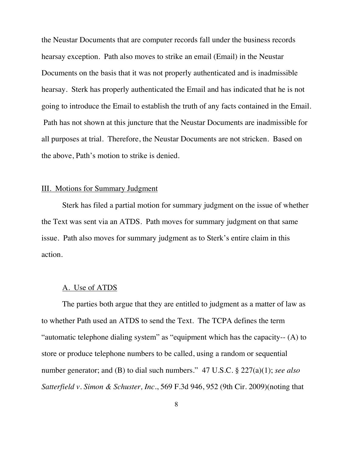the Neustar Documents that are computer records fall under the business records hearsay exception. Path also moves to strike an email (Email) in the Neustar Documents on the basis that it was not properly authenticated and is inadmissible hearsay. Sterk has properly authenticated the Email and has indicated that he is not going to introduce the Email to establish the truth of any facts contained in the Email. Path has not shown at this juncture that the Neustar Documents are inadmissible for all purposes at trial. Therefore, the Neustar Documents are not stricken. Based on the above, Path's motion to strike is denied.

## III. Motions for Summary Judgment

Sterk has filed a partial motion for summary judgment on the issue of whether the Text was sent via an ATDS. Path moves for summary judgment on that same issue. Path also moves for summary judgment as to Sterk's entire claim in this action.

#### A. Use of ATDS

The parties both argue that they are entitled to judgment as a matter of law as to whether Path used an ATDS to send the Text. The TCPA defines the term "automatic telephone dialing system" as "equipment which has the capacity-- (A) to store or produce telephone numbers to be called, using a random or sequential number generator; and (B) to dial such numbers." 47 U.S.C. § 227(a)(1); *see also Satterfield v. Simon & Schuster, Inc.*, 569 F.3d 946, 952 (9th Cir. 2009)(noting that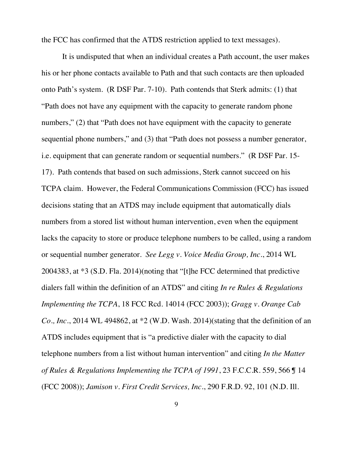the FCC has confirmed that the ATDS restriction applied to text messages).

It is undisputed that when an individual creates a Path account, the user makes his or her phone contacts available to Path and that such contacts are then uploaded onto Path's system. (R DSF Par. 7-10). Path contends that Sterk admits: (1) that "Path does not have any equipment with the capacity to generate random phone numbers," (2) that "Path does not have equipment with the capacity to generate sequential phone numbers," and (3) that "Path does not possess a number generator, i.e. equipment that can generate random or sequential numbers." (R DSF Par. 15- 17). Path contends that based on such admissions, Sterk cannot succeed on his TCPA claim. However, the Federal Communications Commission (FCC) has issued decisions stating that an ATDS may include equipment that automatically dials numbers from a stored list without human intervention, even when the equipment lacks the capacity to store or produce telephone numbers to be called, using a random or sequential number generator. *See Legg v. Voice Media Group, Inc.*, 2014 WL 2004383, at \*3 (S.D. Fla. 2014)(noting that "[t]he FCC determined that predictive dialers fall within the definition of an ATDS" and citing *In re Rules & Regulations Implementing the TCPA*, 18 FCC Rcd. 14014 (FCC 2003)); *Gragg v. Orange Cab Co., Inc.*, 2014 WL 494862, at \*2 (W.D. Wash. 2014)(stating that the definition of an ATDS includes equipment that is "a predictive dialer with the capacity to dial telephone numbers from a list without human intervention" and citing *In the Matter of Rules & Regulations Implementing the TCPA of 1991*, 23 F.C.C.R. 559, 566 ¶ 14 (FCC 2008)); *Jamison v. First Credit Services, Inc.*, 290 F.R.D. 92, 101 (N.D. Ill.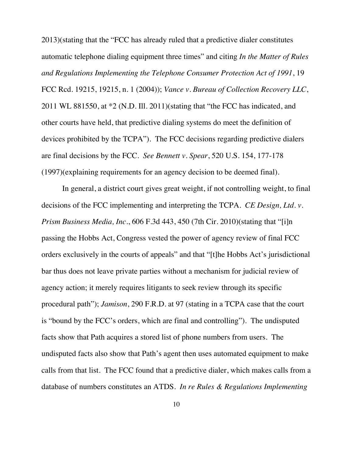2013)(stating that the "FCC has already ruled that a predictive dialer constitutes automatic telephone dialing equipment three times" and citing *In the Matter of Rules and Regulations Implementing the Telephone Consumer Protection Act of 1991*, 19 FCC Rcd. 19215, 19215, n. 1 (2004)); *Vance v. Bureau of Collection Recovery LLC*, 2011 WL 881550, at \*2 (N.D. Ill. 2011)(stating that "the FCC has indicated, and other courts have held, that predictive dialing systems do meet the definition of devices prohibited by the TCPA"). The FCC decisions regarding predictive dialers are final decisions by the FCC. *See Bennett v. Spear*, 520 U.S. 154, 177-178 (1997)(explaining requirements for an agency decision to be deemed final).

In general, a district court gives great weight, if not controlling weight, to final decisions of the FCC implementing and interpreting the TCPA. *CE Design, Ltd. v. Prism Business Media, Inc.*, 606 F.3d 443, 450 (7th Cir. 2010)(stating that "[i]n passing the Hobbs Act, Congress vested the power of agency review of final FCC orders exclusively in the courts of appeals" and that "[t]he Hobbs Act's jurisdictional bar thus does not leave private parties without a mechanism for judicial review of agency action; it merely requires litigants to seek review through its specific procedural path"); *Jamison*, 290 F.R.D. at 97 (stating in a TCPA case that the court is "bound by the FCC's orders, which are final and controlling"). The undisputed facts show that Path acquires a stored list of phone numbers from users. The undisputed facts also show that Path's agent then uses automated equipment to make calls from that list. The FCC found that a predictive dialer, which makes calls from a database of numbers constitutes an ATDS. *In re Rules & Regulations Implementing*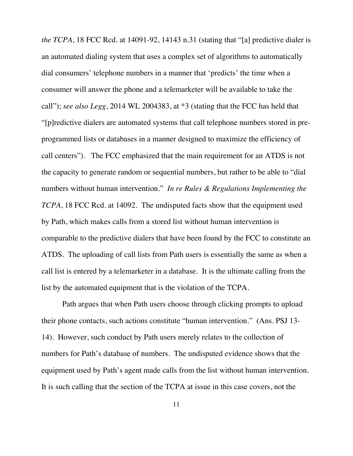*the TCPA*, 18 FCC Rcd. at 14091-92, 14143 n.31 (stating that "[a] predictive dialer is an automated dialing system that uses a complex set of algorithms to automatically dial consumers' telephone numbers in a manner that 'predicts' the time when a consumer will answer the phone and a telemarketer will be available to take the call"); *see also Legg*, 2014 WL 2004383, at \*3 (stating that the FCC has held that "[p]redictive dialers are automated systems that call telephone numbers stored in preprogrammed lists or databases in a manner designed to maximize the efficiency of call centers"). The FCC emphasized that the main requirement for an ATDS is not the capacity to generate random or sequential numbers, but rather to be able to "dial numbers without human intervention." *In re Rules & Regulations Implementing the TCPA*, 18 FCC Rcd. at 14092.The undisputed facts show that the equipment used by Path, which makes calls from a stored list without human intervention is comparable to the predictive dialers that have been found by the FCC to constitute an ATDS. The uploading of call lists from Path users is essentially the same as when a call list is entered by a telemarketer in a database. It is the ultimate calling from the list by the automated equipment that is the violation of the TCPA.

Path argues that when Path users choose through clicking prompts to upload their phone contacts, such actions constitute "human intervention." (Ans. PSJ 13- 14). However, such conduct by Path users merely relates to the collection of numbers for Path's database of numbers. The undisputed evidence shows that the equipment used by Path's agent made calls from the list without human intervention. It is such calling that the section of the TCPA at issue in this case covers, not the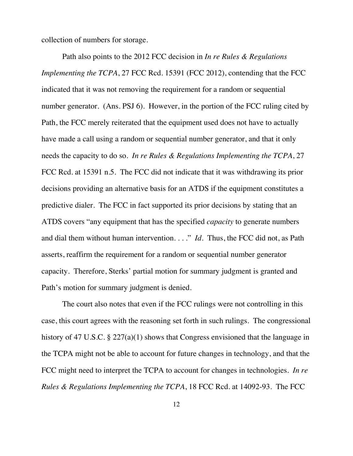collection of numbers for storage.

Path also points to the 2012 FCC decision in *In re Rules & Regulations Implementing the TCPA, 27 FCC Rcd. 15391 (FCC 2012), contending that the FCC* indicated that it was not removing the requirement for a random or sequential number generator. (Ans. PSJ 6). However, in the portion of the FCC ruling cited by Path, the FCC merely reiterated that the equipment used does not have to actually have made a call using a random or sequential number generator, and that it only needs the capacity to do so. *In re Rules & Regulations Implementing the TCPA*, 27 FCC Rcd. at 15391 n.5. The FCC did not indicate that it was withdrawing its prior decisions providing an alternative basis for an ATDS if the equipment constitutes a predictive dialer. The FCC in fact supported its prior decisions by stating that an ATDS covers "any equipment that has the specified *capacity* to generate numbers and dial them without human intervention. . . ." *Id.* Thus, the FCC did not, as Path asserts, reaffirm the requirement for a random or sequential number generator capacity. Therefore, Sterks' partial motion for summary judgment is granted and Path's motion for summary judgment is denied.

The court also notes that even if the FCC rulings were not controlling in this case, this court agrees with the reasoning set forth in such rulings. The congressional history of 47 U.S.C. § 227(a)(1) shows that Congress envisioned that the language in the TCPA might not be able to account for future changes in technology, and that the FCC might need to interpret the TCPA to account for changes in technologies. *In re Rules & Regulations Implementing the TCPA*, 18 FCC Rcd. at 14092-93. The FCC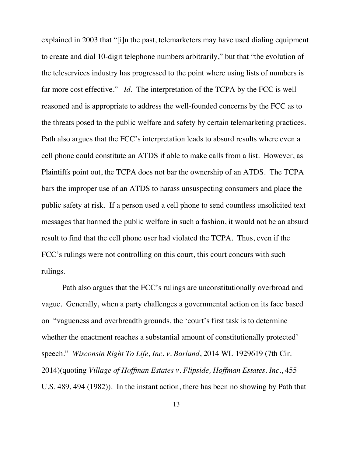explained in 2003 that "[i]n the past, telemarketers may have used dialing equipment to create and dial 10-digit telephone numbers arbitrarily," but that "the evolution of the teleservices industry has progressed to the point where using lists of numbers is far more cost effective." *Id.* The interpretation of the TCPA by the FCC is wellreasoned and is appropriate to address the well-founded concerns by the FCC as to the threats posed to the public welfare and safety by certain telemarketing practices. Path also argues that the FCC's interpretation leads to absurd results where even a cell phone could constitute an ATDS if able to make calls from a list. However, as Plaintiffs point out, the TCPA does not bar the ownership of an ATDS. The TCPA bars the improper use of an ATDS to harass unsuspecting consumers and place the public safety at risk. If a person used a cell phone to send countless unsolicited text messages that harmed the public welfare in such a fashion, it would not be an absurd result to find that the cell phone user had violated the TCPA. Thus, even if the FCC's rulings were not controlling on this court, this court concurs with such rulings.

Path also argues that the FCC's rulings are unconstitutionally overbroad and vague. Generally, when a party challenges a governmental action on its face based on "vagueness and overbreadth grounds, the 'court's first task is to determine whether the enactment reaches a substantial amount of constitutionally protected' speech." *Wisconsin Right To Life, Inc. v. Barland*, 2014 WL 1929619 (7th Cir. 2014)(quoting *Village of Hoffman Estates v. Flipside, Hoffman Estates, Inc.*, 455 U.S. 489, 494 (1982)). In the instant action, there has been no showing by Path that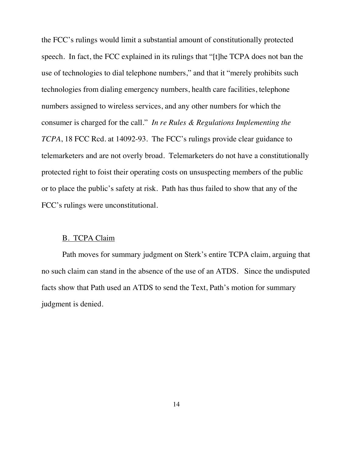the FCC's rulings would limit a substantial amount of constitutionally protected speech. In fact, the FCC explained in its rulings that "[t]he TCPA does not ban the use of technologies to dial telephone numbers," and that it "merely prohibits such technologies from dialing emergency numbers, health care facilities, telephone numbers assigned to wireless services, and any other numbers for which the consumer is charged for the call." *In re Rules & Regulations Implementing the TCPA*, 18 FCC Rcd. at 14092-93. The FCC's rulings provide clear guidance to telemarketers and are not overly broad. Telemarketers do not have a constitutionally protected right to foist their operating costs on unsuspecting members of the public or to place the public's safety at risk. Path has thus failed to show that any of the FCC's rulings were unconstitutional.

#### B. TCPA Claim

Path moves for summary judgment on Sterk's entire TCPA claim, arguing that no such claim can stand in the absence of the use of an ATDS. Since the undisputed facts show that Path used an ATDS to send the Text, Path's motion for summary judgment is denied.